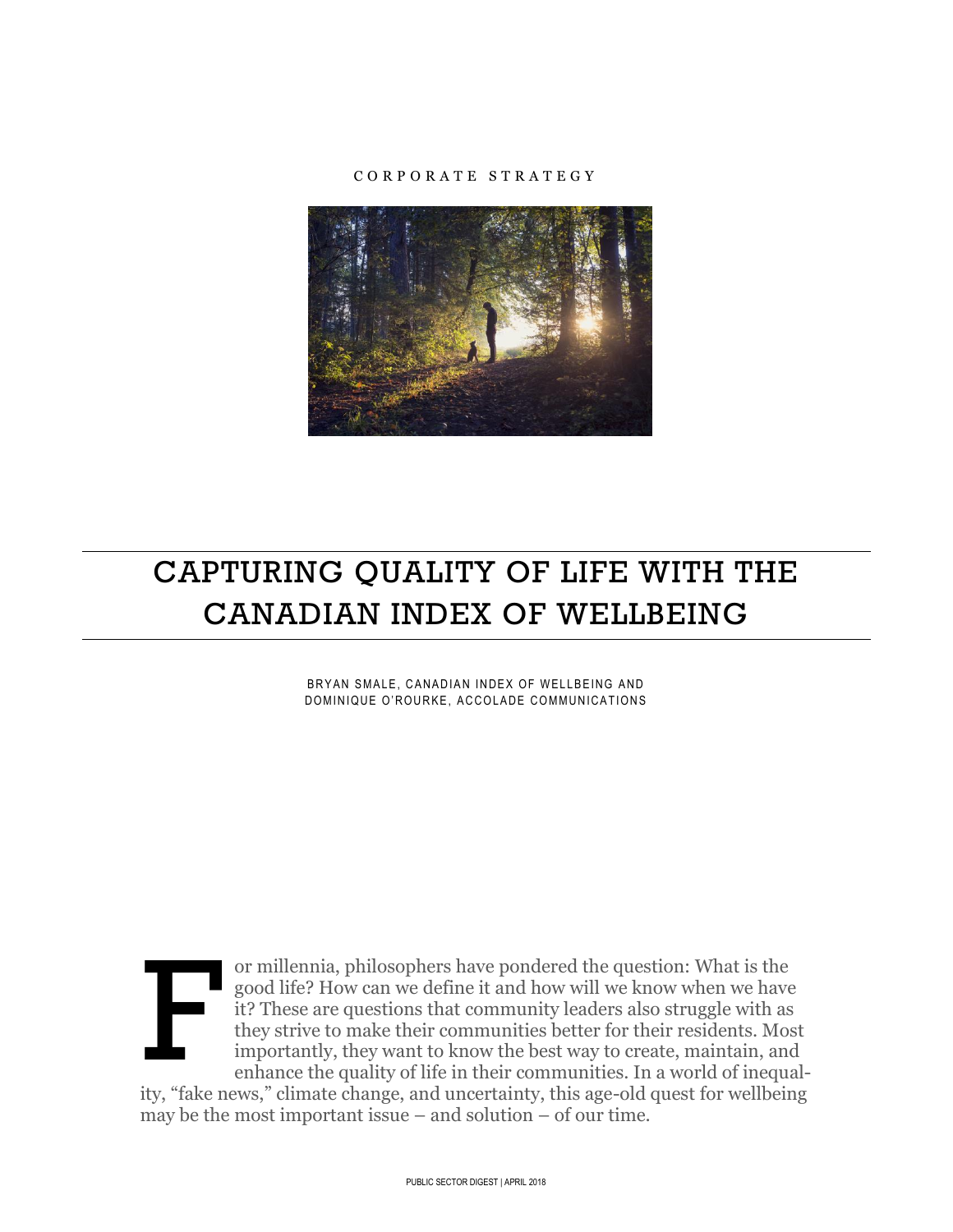#### C O R P O R A T E S T R A T E G Y



# CAPTURING QUALITY OF LIFE WITH THE CANADIAN INDEX OF WELLBEING

BRYAN SMALE, CANADIAN INDEX OF WELLBEING AND DOMINIQUE O'ROURKE, ACCOLADE COMMUNICATIONS



or millennia, philosophers have pondered the question: What is the good life? How can we define it and how will we know when we have it? These are questions that community leaders also struggle with as they strive to make their communities better for their residents. Most importantly, they want to know the best way to create, maintain, and enhance the quality of life in their communities. In a world of inequal-

ity, "fake news," climate change, and uncertainty, this age-old quest for wellbeing may be the most important issue – and solution – of our time.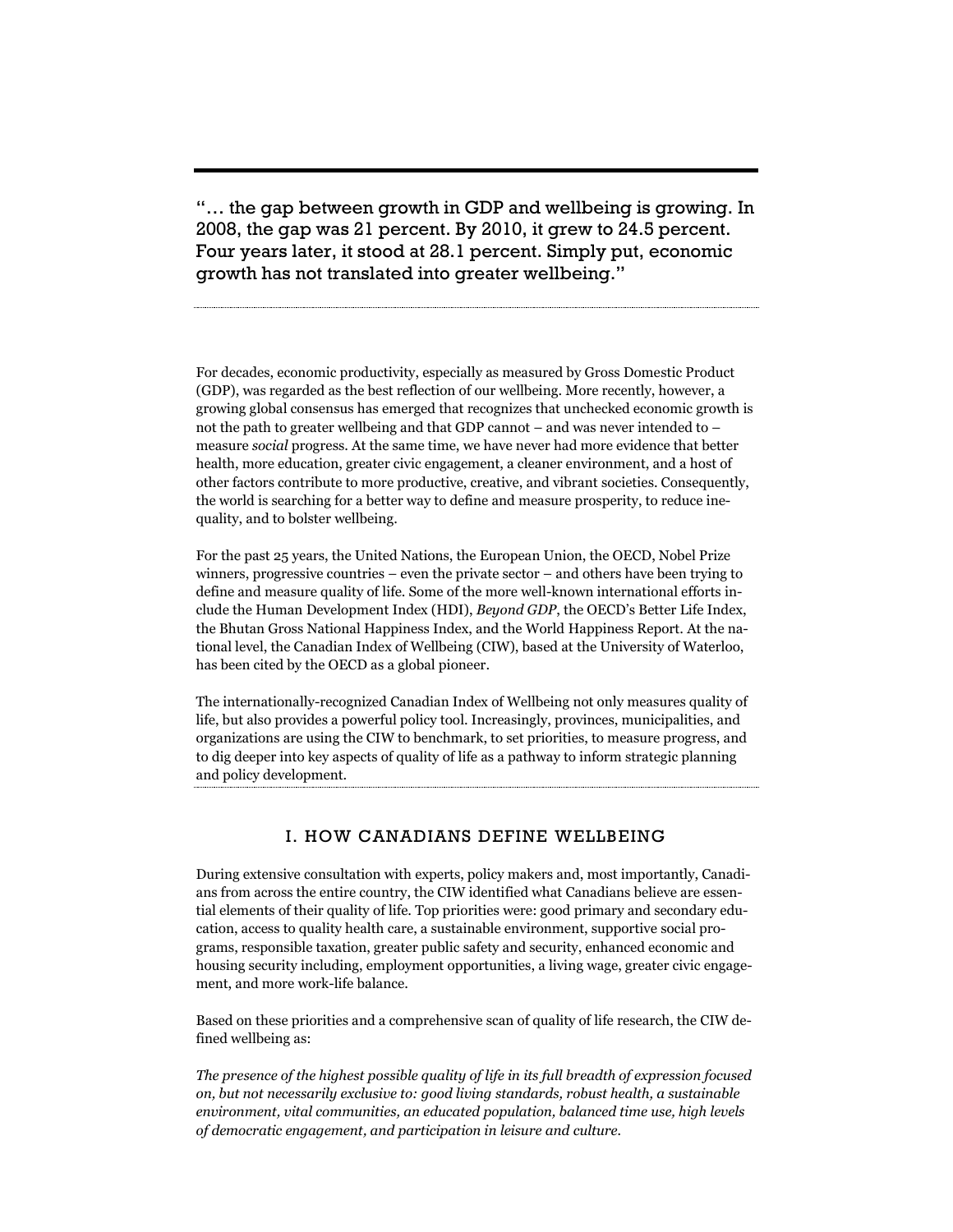"… the gap between growth in GDP and wellbeing is growing. In 2008, the gap was 21 percent. By 2010, it grew to 24.5 percent. Four years later, it stood at 28.1 percent. Simply put, economic growth has not translated into greater wellbeing."

For decades, economic productivity, especially as measured by Gross Domestic Product (GDP), was regarded as the best reflection of our wellbeing. More recently, however, a growing global consensus has emerged that recognizes that unchecked economic growth is not the path to greater wellbeing and that GDP cannot – and was never intended to – measure *social* progress. At the same time, we have never had more evidence that better health, more education, greater civic engagement, a cleaner environment, and a host of other factors contribute to more productive, creative, and vibrant societies. Consequently, the world is searching for a better way to define and measure prosperity, to reduce inequality, and to bolster wellbeing.

For the past 25 years, the United Nations, the European Union, the OECD, Nobel Prize winners, progressive countries – even the private sector – and others have been trying to define and measure quality of life. Some of the more well-known international efforts include the Human Development Index (HDI), *Beyond GDP*, the OECD's Better Life Index, the Bhutan Gross National Happiness Index, and the World Happiness Report. At the national level, the Canadian Index of Wellbeing (CIW), based at the University of Waterloo, has been cited by the OECD as a global pioneer.

The internationally-recognized Canadian Index of Wellbeing not only measures quality of life, but also provides a powerful policy tool. Increasingly, provinces, municipalities, and organizations are using the CIW to benchmark, to set priorities, to measure progress, and to dig deeper into key aspects of quality of life as a pathway to inform strategic planning and policy development.

#### I. HOW CANADIANS DEFINE WELLBEING

During extensive consultation with experts, policy makers and, most importantly, Canadians from across the entire country, the CIW identified what Canadians believe are essential elements of their quality of life. Top priorities were: good primary and secondary education, access to quality health care, a sustainable environment, supportive social programs, responsible taxation, greater public safety and security, enhanced economic and housing security including, employment opportunities, a living wage, greater civic engagement, and more work-life balance.

Based on these priorities and a comprehensive scan of quality of life research, the CIW defined wellbeing as:

*The presence of the highest possible quality of life in its full breadth of expression focused on, but not necessarily exclusive to: good living standards, robust health, a sustainable environment, vital communities, an educated population, balanced time use, high levels of democratic engagement, and participation in leisure and culture.*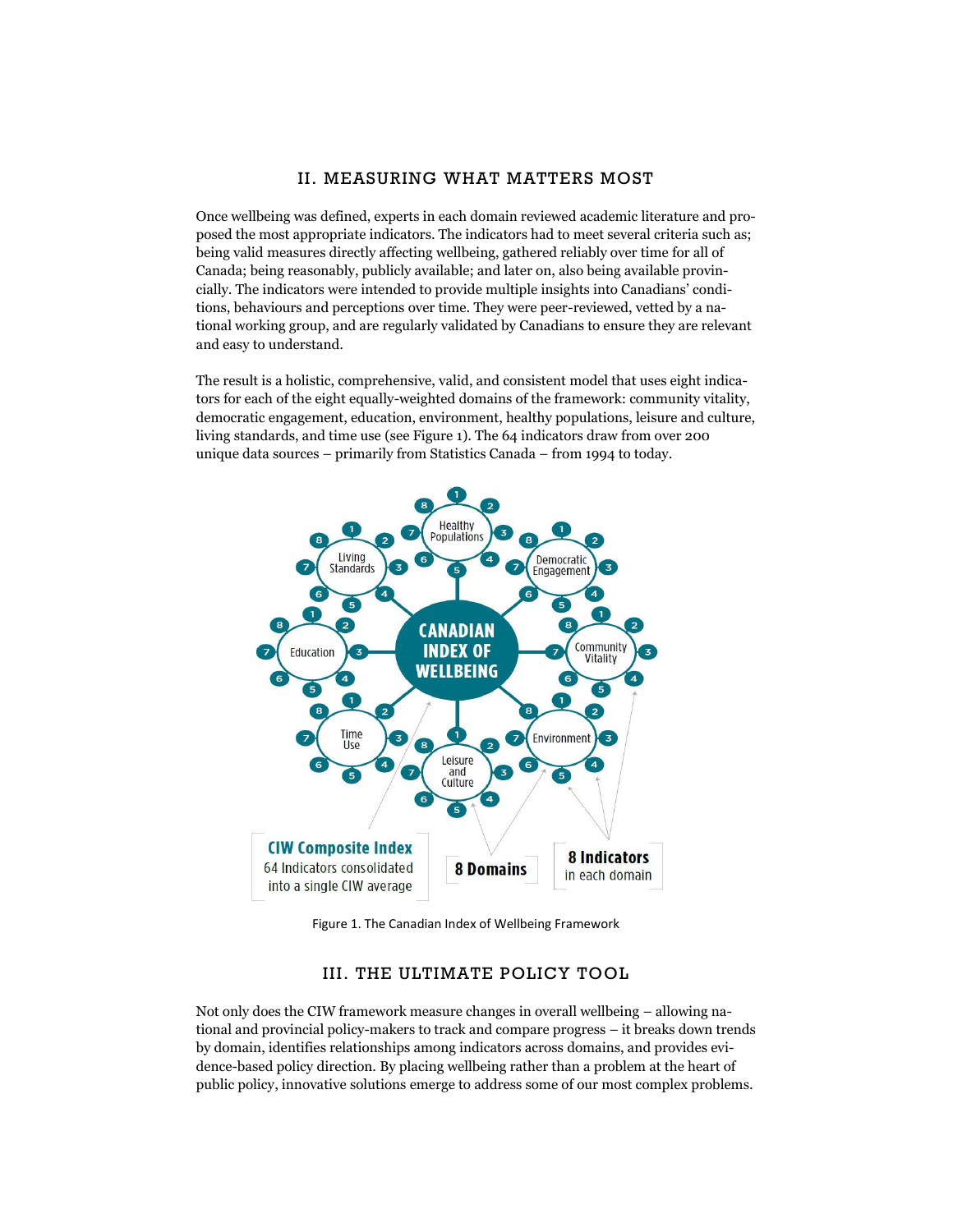## II. MEASURING WHAT MATTERS MOST

Once wellbeing was defined, experts in each domain reviewed academic literature and proposed the most appropriate indicators. The indicators had to meet several criteria such as; being valid measures directly affecting wellbeing, gathered reliably over time for all of Canada; being reasonably, publicly available; and later on, also being available provincially. The indicators were intended to provide multiple insights into Canadians' conditions, behaviours and perceptions over time. They were peer-reviewed, vetted by a national working group, and are regularly validated by Canadians to ensure they are relevant and easy to understand.

The result is a holistic, comprehensive, valid, and consistent model that uses eight indicators for each of the eight equally-weighted domains of the framework: community vitality, democratic engagement, education, environment, healthy populations, leisure and culture, living standards, and time use (see Figure 1). The 64 indicators draw from over 200 unique data sources – primarily from Statistics Canada – from 1994 to today.



Figure 1. The Canadian Index of Wellbeing Framework

#### III. THE ULTIMATE POLICY TOOL

Not only does the CIW framework measure changes in overall wellbeing – allowing national and provincial policy-makers to track and compare progress – it breaks down trends by domain, identifies relationships among indicators across domains, and provides evidence-based policy direction. By placing wellbeing rather than a problem at the heart of public policy, innovative solutions emerge to address some of our most complex problems.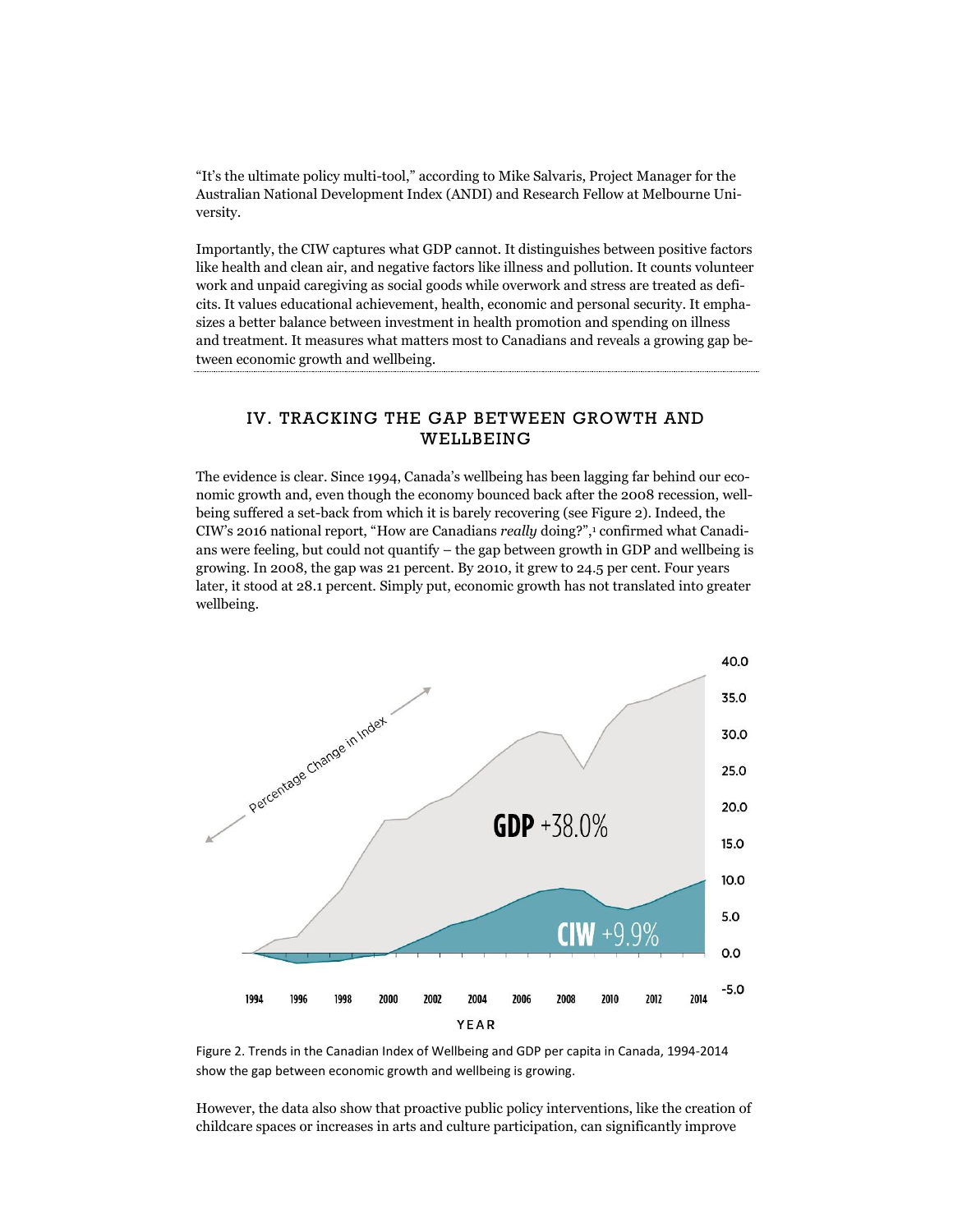"It's the ultimate policy multi-tool," according to Mike Salvaris, Project Manager for the Australian National Development Index (ANDI) and Research Fellow at Melbourne University.

Importantly, the CIW captures what GDP cannot. It distinguishes between positive factors like health and clean air, and negative factors like illness and pollution. It counts volunteer work and unpaid caregiving as social goods while overwork and stress are treated as deficits. It values educational achievement, health, economic and personal security. It emphasizes a better balance between investment in health promotion and spending on illness and treatment. It measures what matters most to Canadians and reveals a growing gap between economic growth and wellbeing.

## IV. TRACKING THE GAP BETWEEN GROWTH AND WELLBEING

The evidence is clear. Since 1994, Canada's wellbeing has been lagging far behind our economic growth and, even though the economy bounced back after the 2008 recession, wellbeing suffered a set-back from which it is barely recovering (see Figure 2). Indeed, the CIW's 2016 national report, "How are Canadians *really* doing?",<sup>1</sup> confirmed what Canadians were feeling, but could not quantify – the gap between growth in GDP and wellbeing is growing. In 2008, the gap was 21 percent. By 2010, it grew to 24.5 per cent. Four years later, it stood at 28.1 percent. Simply put, economic growth has not translated into greater wellbeing.



Figure 2. Trends in the Canadian Index of Wellbeing and GDP per capita in Canada, 1994-2014 show the gap between economic growth and wellbeing is growing.

However, the data also show that proactive public policy interventions, like the creation of childcare spaces or increases in arts and culture participation, can significantly improve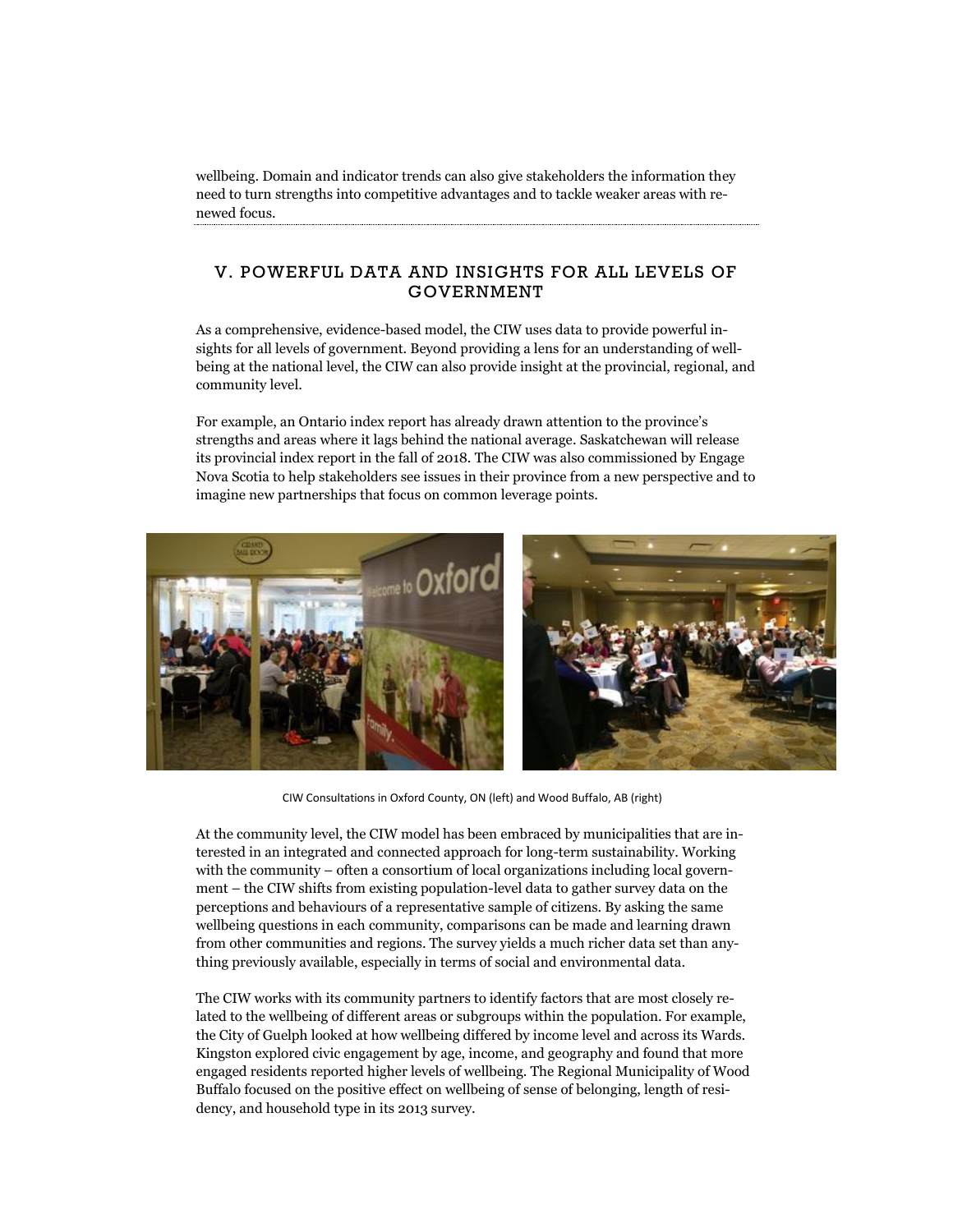wellbeing. Domain and indicator trends can also give stakeholders the information they need to turn strengths into competitive advantages and to tackle weaker areas with renewed focus.

## V. POWERFUL DATA AND INSIGHTS FOR ALL LEVELS OF GOVERNMENT

As a comprehensive, evidence-based model, the CIW uses data to provide powerful insights for all levels of government. Beyond providing a lens for an understanding of wellbeing at the national level, the CIW can also provide insight at the provincial, regional, and community level.

For example, an Ontario index report has already drawn attention to the province's strengths and areas where it lags behind the national average. Saskatchewan will release its provincial index report in the fall of 2018. The CIW was also commissioned by Engage Nova Scotia to help stakeholders see issues in their province from a new perspective and to imagine new partnerships that focus on common leverage points.



CIW Consultations in Oxford County, ON (left) and Wood Buffalo, AB (right)

At the community level, the CIW model has been embraced by municipalities that are interested in an integrated and connected approach for long-term sustainability. Working with the community – often a consortium of local organizations including local government – the CIW shifts from existing population-level data to gather survey data on the perceptions and behaviours of a representative sample of citizens. By asking the same wellbeing questions in each community, comparisons can be made and learning drawn from other communities and regions. The survey yields a much richer data set than anything previously available, especially in terms of social and environmental data.

The CIW works with its community partners to identify factors that are most closely related to the wellbeing of different areas or subgroups within the population. For example, the City of Guelph looked at how wellbeing differed by income level and across its Wards. Kingston explored civic engagement by age, income, and geography and found that more engaged residents reported higher levels of wellbeing. The Regional Municipality of Wood Buffalo focused on the positive effect on wellbeing of sense of belonging, length of residency, and household type in its 2013 survey.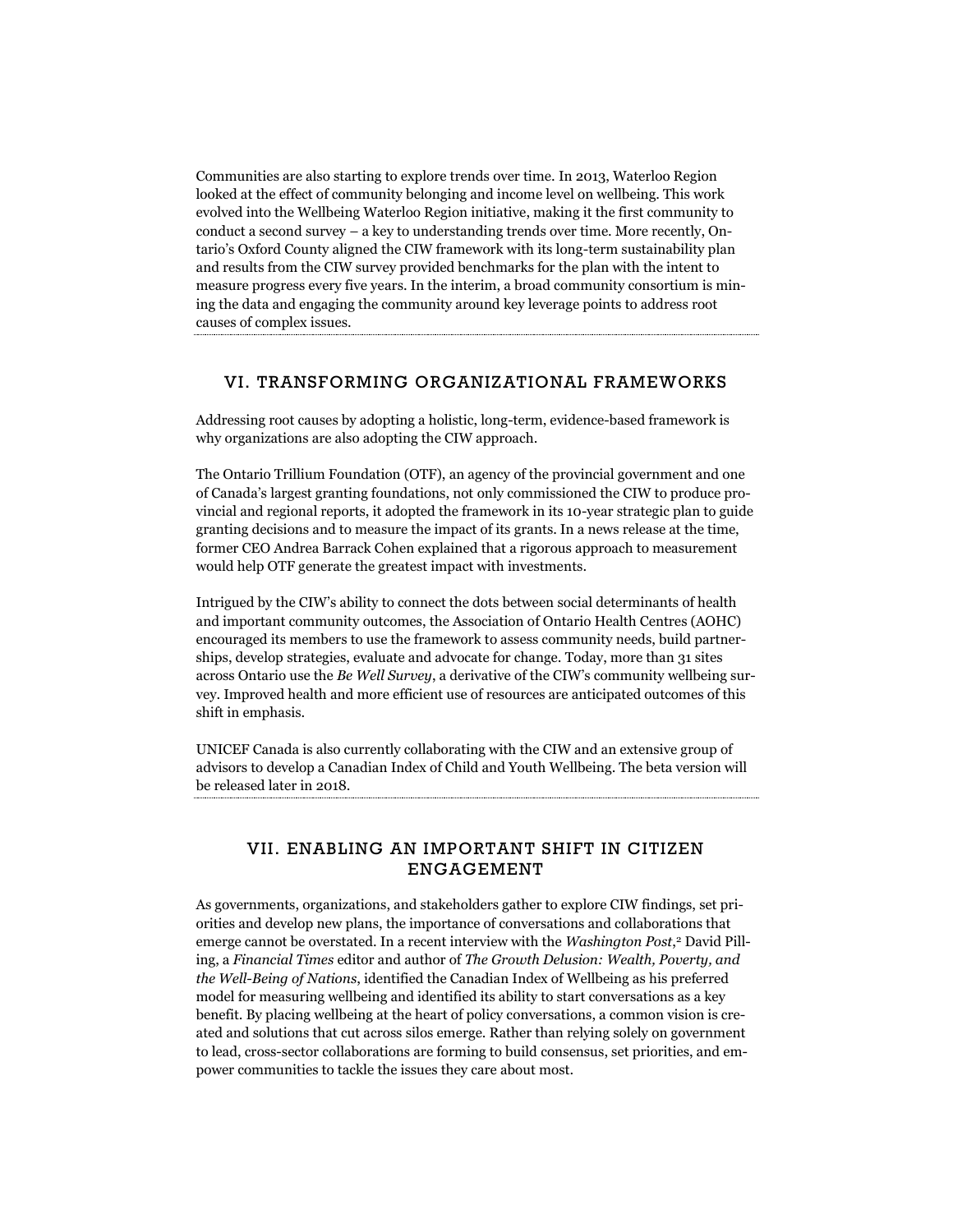Communities are also starting to explore trends over time. In 2013, Waterloo Region looked at the effect of community belonging and income level on wellbeing. This work evolved into the Wellbeing Waterloo Region initiative, making it the first community to conduct a second survey – a key to understanding trends over time. More recently, Ontario's Oxford County aligned the CIW framework with its long-term sustainability plan and results from the CIW survey provided benchmarks for the plan with the intent to measure progress every five years. In the interim, a broad community consortium is mining the data and engaging the community around key leverage points to address root causes of complex issues.

#### VI. TRANSFORMING ORGANIZATIONAL FRAMEWORKS

Addressing root causes by adopting a holistic, long-term, evidence-based framework is why organizations are also adopting the CIW approach.

The Ontario Trillium Foundation (OTF), an agency of the provincial government and one of Canada's largest granting foundations, not only commissioned the CIW to produce provincial and regional reports, it adopted the framework in its 10-year strategic plan to guide granting decisions and to measure the impact of its grants. In a news release at the time, former CEO Andrea Barrack Cohen explained that a rigorous approach to measurement would help OTF generate the greatest impact with investments.

Intrigued by the CIW's ability to connect the dots between social determinants of health and important community outcomes, the Association of Ontario Health Centres (AOHC) encouraged its members to use the framework to assess community needs, build partnerships, develop strategies, evaluate and advocate for change. Today, more than 31 sites across Ontario use the *Be Well Survey*, a derivative of the CIW's community wellbeing survey. Improved health and more efficient use of resources are anticipated outcomes of this shift in emphasis.

UNICEF Canada is also currently collaborating with the CIW and an extensive group of advisors to develop a Canadian Index of Child and Youth Wellbeing. The beta version will be released later in 2018.

## VII. ENABLING AN IMPORTANT SHIFT IN CITIZEN ENGAGEMENT

As governments, organizations, and stakeholders gather to explore CIW findings, set priorities and develop new plans, the importance of conversations and collaborations that emerge cannot be overstated. In a recent interview with the *Washington Post*, <sup>2</sup> David Pilling, a *Financial Times* editor and author of *The Growth Delusion: Wealth, Poverty, and the Well-Being of Nations*, identified the Canadian Index of Wellbeing as his preferred model for measuring wellbeing and identified its ability to start conversations as a key benefit. By placing wellbeing at the heart of policy conversations, a common vision is created and solutions that cut across silos emerge. Rather than relying solely on government to lead, cross-sector collaborations are forming to build consensus, set priorities, and empower communities to tackle the issues they care about most.